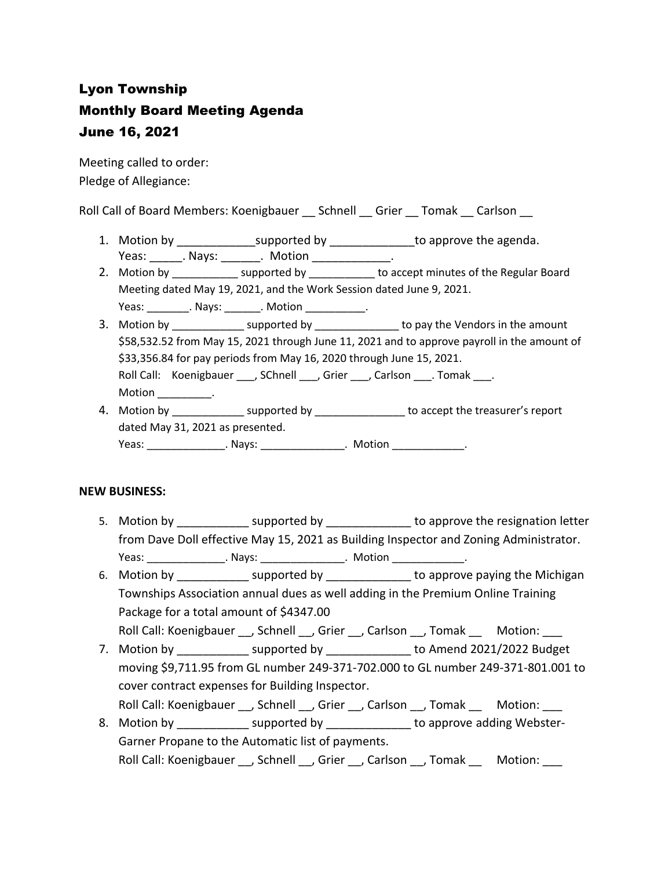# Lyon Township Monthly Board Meeting Agenda June 16, 2021

Meeting called to order: Pledge of Allegiance:

Roll Call of Board Members: Koenigbauer \_\_ Schnell \_\_ Grier \_\_ Tomak \_\_ Carlson \_\_

- 1. Motion by \_\_\_\_\_\_\_\_\_\_\_\_\_\_\_supported by \_\_\_\_\_\_\_\_\_\_\_\_\_\_\_\_to approve the agenda. Yeas: Nays: Notion Reas: Notion
- 2. Motion by \_\_\_\_\_\_\_\_\_\_\_\_\_ supported by \_\_\_\_\_\_\_\_\_\_\_ to accept minutes of the Regular Board Meeting dated May 19, 2021, and the Work Session dated June 9, 2021.
	- Yeas: \_\_\_\_\_\_\_\_\_. Nays: \_\_\_\_\_\_\_\_. Motion \_\_\_\_\_\_\_\_\_\_\_\_.
- 3. Motion by \_\_\_\_\_\_\_\_\_\_\_\_\_\_ supported by \_\_\_\_\_\_\_\_\_\_\_\_\_\_\_ to pay the Vendors in the amount \$58,532.52 from May 15, 2021 through June 11, 2021 and to approve payroll in the amount of \$33,356.84 for pay periods from May 16, 2020 through June 15, 2021. Roll Call: Koenigbauer , SChnell , Grier , Carlson . Tomak . Motion \_\_\_\_\_\_\_\_\_\_.
- 4. Motion by \_\_\_\_\_\_\_\_\_\_\_\_\_\_\_ supported by \_\_\_\_\_\_\_\_\_\_\_\_\_\_\_\_ to accept the treasurer's report dated May 31, 2021 as presented. Yeas: \_\_\_\_\_\_\_\_\_\_\_\_\_\_\_\_\_. Nays: \_\_\_\_\_\_\_\_\_\_\_\_\_\_\_\_\_. Motion \_\_\_\_\_\_\_\_\_\_\_\_\_\_\_\_.

### **NEW BUSINESS:**

- 5. Motion by \_\_\_\_\_\_\_\_\_\_\_\_\_\_ supported by \_\_\_\_\_\_\_\_\_\_\_\_\_\_\_\_ to approve the resignation letter from Dave Doll effective May 15, 2021 as Building Inspector and Zoning Administrator. Yeas: The Mays: The Motion Characteristic Motion Characteristic Motion Characteristic Motion Characteristic Mo
- 6. Motion by **Example 2** supported by **Example 2** to approve paying the Michigan Townships Association annual dues as well adding in the Premium Online Training Package for a total amount of \$4347.00
- Roll Call: Koenigbauer \_\_, Schnell \_\_, Grier \_\_, Carlson \_\_, Tomak \_\_ Motion: \_\_\_
- 7. Motion by \_\_\_\_\_\_\_\_\_\_\_\_\_ supported by \_\_\_\_\_\_\_\_\_\_\_\_\_\_ to Amend 2021/2022 Budget moving \$9,711.95 from GL number 249-371-702.000 to GL number 249-371-801.001 to cover contract expenses for Building Inspector.
	- Roll Call: Koenigbauer \_\_, Schnell \_\_, Grier \_\_, Carlson \_\_, Tomak \_\_ Motion: \_\_\_
- 8. Motion by \_\_\_\_\_\_\_\_\_\_\_\_\_ supported by \_\_\_\_\_\_\_\_\_\_\_\_\_\_ to approve adding Webster-Garner Propane to the Automatic list of payments. Roll Call: Koenigbauer \_\_, Schnell \_\_, Grier \_\_, Carlson \_\_, Tomak \_\_ Motion: \_\_\_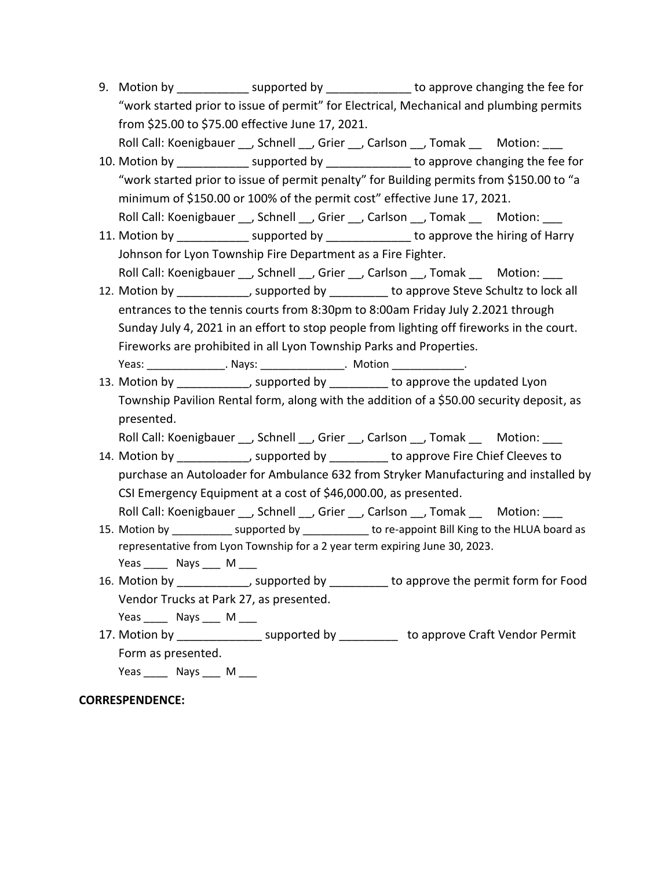- 9. Motion by supported by to approve changing the fee for "work started prior to issue of permit" for Electrical, Mechanical and plumbing permits from \$25.00 to \$75.00 effective June 17, 2021.
- Roll Call: Koenigbauer \_\_, Schnell \_\_, Grier \_\_, Carlson \_\_, Tomak \_\_ Motion: \_\_\_ 10. Motion by \_\_\_\_\_\_\_\_\_\_\_\_\_\_ supported by \_\_\_\_\_\_\_\_\_\_\_\_\_\_\_ to approve changing the fee for "work started prior to issue of permit penalty" for Building permits from \$150.00 to "a minimum of \$150.00 or 100% of the permit cost" effective June 17, 2021. Roll Call: Koenigbauer \_\_, Schnell \_\_, Grier \_\_, Carlson \_\_, Tomak \_\_ Motion: \_\_
- 11. Motion by **Example 2** supported by **Example 2** to approve the hiring of Harry Johnson for Lyon Township Fire Department as a Fire Fighter. Roll Call: Koenigbauer , Schnell , Grier , Carlson , Tomak Motion:
- 12. Motion by the supported by the approve Steve Schultz to lock all entrances to the tennis courts from 8:30pm to 8:00am Friday July 2.2021 through Sunday July 4, 2021 in an effort to stop people from lighting off fireworks in the court. Fireworks are prohibited in all Lyon Township Parks and Properties. Yeas: \_\_\_\_\_\_\_\_\_\_\_\_\_\_\_\_\_. Nays: \_\_\_\_\_\_\_\_\_\_\_\_\_\_\_\_. Motion \_\_\_\_\_\_\_\_\_\_\_\_\_\_.
- 13. Motion by \_\_\_\_\_\_\_\_\_\_\_, supported by \_\_\_\_\_\_\_\_\_ to approve the updated Lyon Township Pavilion Rental form, along with the addition of a \$50.00 security deposit, as presented.

Roll Call: Koenigbauer \_\_, Schnell \_\_, Grier \_\_, Carlson \_\_, Tomak \_\_ Motion: \_\_\_

- 14. Motion by \_\_\_\_\_\_\_\_\_\_\_, supported by \_\_\_\_\_\_\_\_\_ to approve Fire Chief Cleeves to purchase an Autoloader for Ambulance 632 from Stryker Manufacturing and installed by CSI Emergency Equipment at a cost of \$46,000.00, as presented. Roll Call: Koenigbauer , Schnell , Grier , Carlson , Tomak Motion:
- 15. Motion by \_\_\_\_\_\_\_\_\_\_\_\_ supported by \_\_\_\_\_\_\_\_\_\_\_\_ to re-appoint Bill King to the HLUA board as representative from Lyon Township for a 2 year term expiring June 30, 2023. Yeas \_\_\_\_\_\_ Nays \_\_\_\_ M \_\_\_\_
- 16. Motion by the supported by to approve the permit form for Food Vendor Trucks at Park 27, as presented.

Yeas \_\_\_\_\_\_ Nays \_\_\_\_ M \_\_\_\_ 17. Motion by **Example 2** supported by **the approve Craft Vendor Permit** 

Form as presented.

Yeas Nays M

# **CORRESPENDENCE:**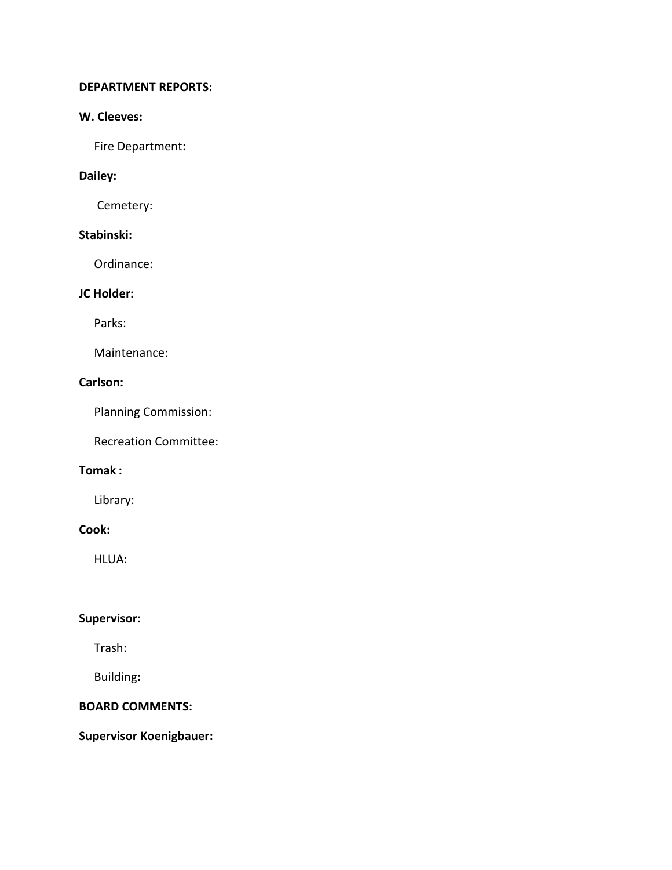#### **DEPARTMENT REPORTS:**

### **W. Cleeves:**

Fire Department:

# **Dailey:**

Cemetery:

# **Stabinski:**

Ordinance:

# **JC Holder:**

Parks:

Maintenance:

# **Carlson:**

Planning Commission:

Recreation Committee:

### **Tomak :**

Library:

### **Cook:**

HLUA:

# **Supervisor:**

Trash:

Building**:**

### **BOARD COMMENTS:**

**Supervisor Koenigbauer:**